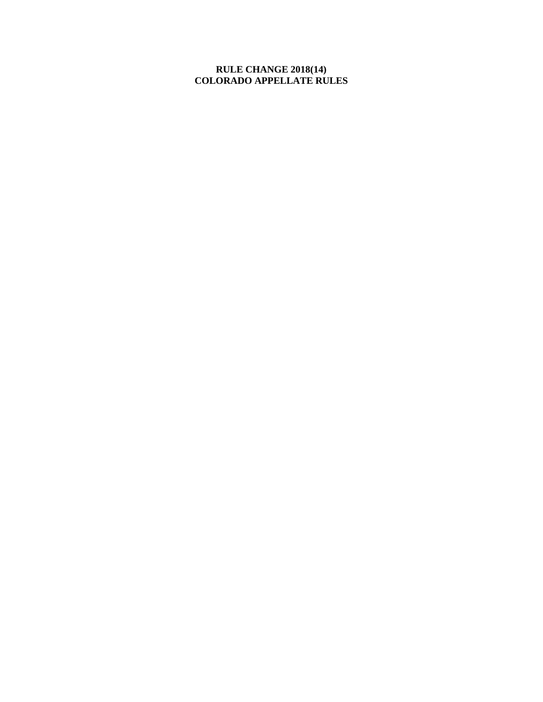# **RULE CHANGE 2018(14) COLORADO APPELLATE RULES**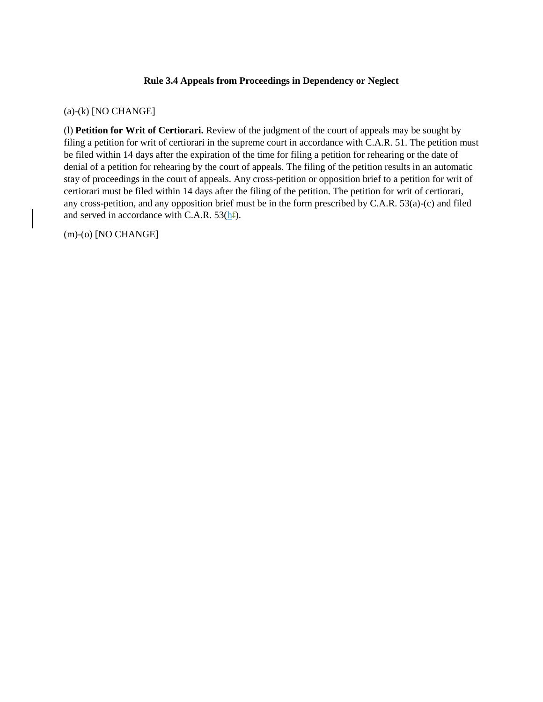### **Rule 3.4 Appeals from Proceedings in Dependency or Neglect**

#### (a)-(k) [NO CHANGE]

(l) **Petition for Writ of Certiorari.** Review of the judgment of the court of appeals may be sought by filing a petition for writ of certiorari in the supreme court in accordance with C.A.R. 51. The petition must be filed within 14 days after the expiration of the time for filing a petition for rehearing or the date of denial of a petition for rehearing by the court of appeals. The filing of the petition results in an automatic stay of proceedings in the court of appeals. Any cross-petition or opposition brief to a petition for writ of certiorari must be filed within 14 days after the filing of the petition. The petition for writ of certiorari, any cross-petition, and any opposition brief must be in the form prescribed by C.A.R. 53(a)-(c) and filed and served in accordance with C.A.R. 53(hf).

(m)-(o) [NO CHANGE]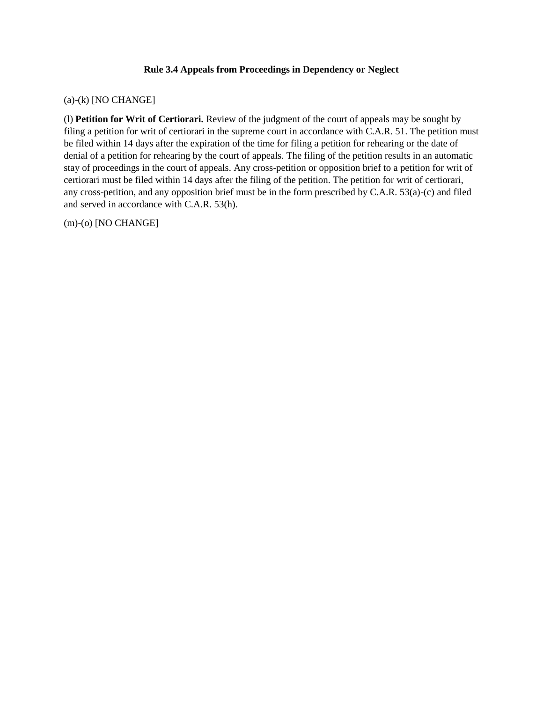## **Rule 3.4 Appeals from Proceedings in Dependency or Neglect**

## (a)-(k) [NO CHANGE]

(l) **Petition for Writ of Certiorari.** Review of the judgment of the court of appeals may be sought by filing a petition for writ of certiorari in the supreme court in accordance with C.A.R. 51. The petition must be filed within 14 days after the expiration of the time for filing a petition for rehearing or the date of denial of a petition for rehearing by the court of appeals. The filing of the petition results in an automatic stay of proceedings in the court of appeals. Any cross-petition or opposition brief to a petition for writ of certiorari must be filed within 14 days after the filing of the petition. The petition for writ of certiorari, any cross-petition, and any opposition brief must be in the form prescribed by C.A.R. 53(a)-(c) and filed and served in accordance with C.A.R. 53(h).

(m)-(o) [NO CHANGE]